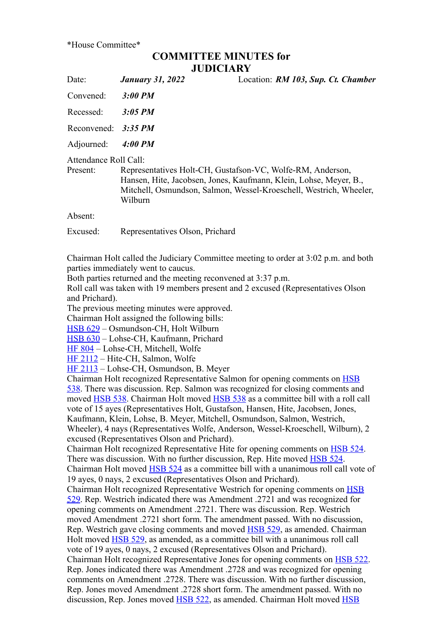\*House Committee\*

## **COMMITTEE MINUTES for JUDICIARY**

| Date:                             | <b>January 31, 2022</b>                                                                                                                                                                                          | Location: RM 103, Sup. Ct. Chamber |
|-----------------------------------|------------------------------------------------------------------------------------------------------------------------------------------------------------------------------------------------------------------|------------------------------------|
| Convened:                         | 3:00 PM                                                                                                                                                                                                          |                                    |
| Recessed:                         | $3:05$ PM                                                                                                                                                                                                        |                                    |
| Reconvened: $3:35 PM$             |                                                                                                                                                                                                                  |                                    |
| Adjourned:                        | 4:00 PM                                                                                                                                                                                                          |                                    |
| Attendance Roll Call:<br>Present: | Representatives Holt-CH, Gustafson-VC, Wolfe-RM, Anderson,<br>Hansen, Hite, Jacobsen, Jones, Kaufmann, Klein, Lohse, Meyer, B.,<br>Mitchell, Osmundson, Salmon, Wessel-Kroeschell, Westrich, Wheeler,<br>Wilburn |                                    |
| Absent:                           |                                                                                                                                                                                                                  |                                    |
| Excused:                          | Representatives Olson, Prichard                                                                                                                                                                                  |                                    |

Chairman Holt called the Judiciary Committee meeting to order at 3:02 p.m. and both parties immediately went to caucus.

Both parties returned and the meeting reconvened at 3:37 p.m.

Roll call was taken with 19 members present and 2 excused (Representatives Olson and Prichard).

The previous meeting minutes were approved.

Chairman Holt assigned the following bills:

[HSB 629](https://www.legis.iowa.gov/legislation/BillBook?ga=89&ba=HSB629) – Osmundson-CH, Holt Wilburn

[HSB 630](https://www.legis.iowa.gov/legislation/BillBook?ga=89&ba=HSB630) – Lohse-CH, Kaufmann, Prichard

[HF 804](https://www.legis.iowa.gov/legislation/BillBook?ga=89&ba=HF804) – Lohse-CH, Mitchell, Wolfe

[HF 2112](https://www.legis.iowa.gov/legislation/BillBook?ga=89&ba=HF2112) – Hite-CH, Salmon, Wolfe

[HF 2113](https://www.legis.iowa.gov/legislation/BillBook?ga=89&ba=HF2113) – Lohse-CH, Osmundson, B. Meyer

[Chairman Holt recognized Representative Salmon for opening comments on HSB](https://www.legis.iowa.gov/legislation/BillBook?ga=89&ba=HSB538) 538. There was discussion. Rep. Salmon was recognized for closing comments and moved [HSB 538](https://www.legis.iowa.gov/legislation/BillBook?ga=89&ba=HSB538). Chairman Holt moved [HSB 538](https://www.legis.iowa.gov/legislation/BillBook?ga=89&ba=HSB538) as a committee bill with a roll call vote of 15 ayes (Representatives Holt, Gustafson, Hansen, Hite, Jacobsen, Jones, Kaufmann, Klein, Lohse, B. Meyer, Mitchell, Osmundson, Salmon, Westrich, Wheeler), 4 nays (Representatives Wolfe, Anderson, Wessel-Kroeschell, Wilburn), 2 excused (Representatives Olson and Prichard). Chairman Holt recognized Representative Hite for opening comments on [HSB 524](https://www.legis.iowa.gov/legislation/BillBook?ga=89&ba=HSB524). There was discussion. With no further discussion, Rep. Hite moved **HSB 524**. Chairman Holt moved [HSB 524](https://www.legis.iowa.gov/legislation/BillBook?ga=89&ba=HSB524) as a committee bill with a unanimous roll call vote of 19 ayes, 0 nays, 2 excused (Representatives Olson and Prichard). [Chairman Holt recognized Representative Westrich for opening comments on HSB](https://www.legis.iowa.gov/legislation/BillBook?ga=89&ba=HSB529) 529. Rep. Westrich indicated there was Amendment .2721 and was recognized for opening comments on Amendment .2721. There was discussion. Rep. Westrich moved Amendment .2721 short form. The amendment passed. With no discussion, Rep. Westrich gave closing comments and moved [HSB 529,](https://www.legis.iowa.gov/legislation/BillBook?ga=89&ba=HSB529) as amended. Chairman Holt moved [HSB 529](https://www.legis.iowa.gov/legislation/BillBook?ga=89&ba=HSB529), as amended, as a committee bill with a unanimous roll call vote of 19 ayes, 0 nays, 2 excused (Representatives Olson and Prichard). Chairman Holt recognized Representative Jones for opening comments on [HSB 522](https://www.legis.iowa.gov/legislation/BillBook?ga=89&ba=HSB522). Rep. Jones indicated there was Amendment .2728 and was recognized for opening comments on Amendment .2728. There was discussion. With no further discussion, Rep. Jones moved Amendment .2728 short form. The amendment passed. With no [discussion, Rep. Jones moved HSB 522, as amended. Chairman Holt moved HSB](https://www.legis.iowa.gov/legislation/BillBook?ga=89&ba=HSB522)